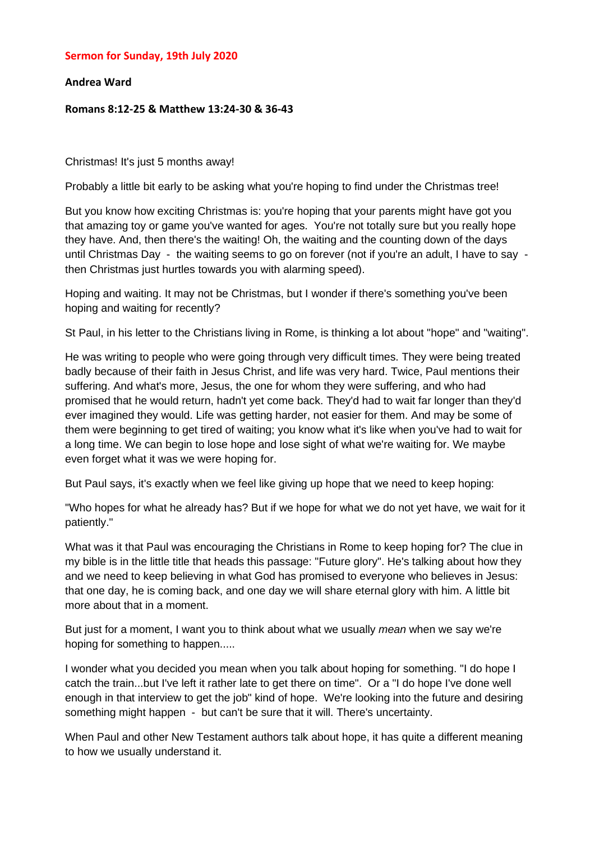### **Sermon for Sunday, 19th July 2020**

### **Andrea Ward**

#### **Romans 8:12-25 & Matthew 13:24-30 & 36-43**

Christmas! It's just 5 months away!

Probably a little bit early to be asking what you're hoping to find under the Christmas tree!

But you know how exciting Christmas is: you're hoping that your parents might have got you that amazing toy or game you've wanted for ages. You're not totally sure but you really hope they have. And, then there's the waiting! Oh, the waiting and the counting down of the days until Christmas Day - the waiting seems to go on forever (not if you're an adult, I have to say then Christmas just hurtles towards you with alarming speed).

Hoping and waiting. It may not be Christmas, but I wonder if there's something you've been hoping and waiting for recently?

St Paul, in his letter to the Christians living in Rome, is thinking a lot about "hope" and "waiting".

He was writing to people who were going through very difficult times. They were being treated badly because of their faith in Jesus Christ, and life was very hard. Twice, Paul mentions their suffering. And what's more, Jesus, the one for whom they were suffering, and who had promised that he would return, hadn't yet come back. They'd had to wait far longer than they'd ever imagined they would. Life was getting harder, not easier for them. And may be some of them were beginning to get tired of waiting; you know what it's like when you've had to wait for a long time. We can begin to lose hope and lose sight of what we're waiting for. We maybe even forget what it was we were hoping for.

But Paul says, it's exactly when we feel like giving up hope that we need to keep hoping:

"Who hopes for what he already has? But if we hope for what we do not yet have, we wait for it patiently."

What was it that Paul was encouraging the Christians in Rome to keep hoping for? The clue in my bible is in the little title that heads this passage: "Future glory". He's talking about how they and we need to keep believing in what God has promised to everyone who believes in Jesus: that one day, he is coming back, and one day we will share eternal glory with him. A little bit more about that in a moment.

But just for a moment, I want you to think about what we usually *mean* when we say we're hoping for something to happen.....

I wonder what you decided you mean when you talk about hoping for something. "I do hope I catch the train...but I've left it rather late to get there on time". Or a "I do hope I've done well enough in that interview to get the job" kind of hope. We're looking into the future and desiring something might happen - but can't be sure that it will. There's uncertainty.

When Paul and other New Testament authors talk about hope, it has quite a different meaning to how we usually understand it.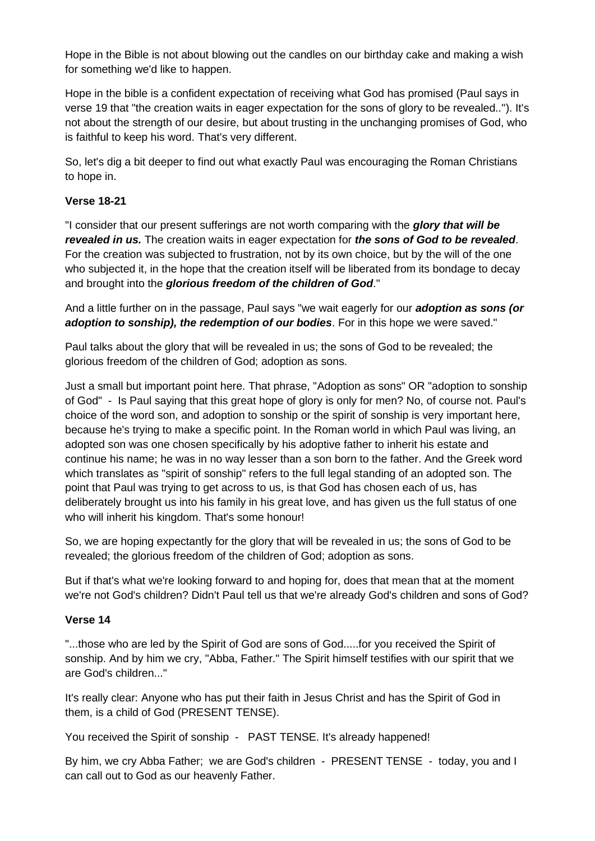Hope in the Bible is not about blowing out the candles on our birthday cake and making a wish for something we'd like to happen.

Hope in the bible is a confident expectation of receiving what God has promised (Paul says in verse 19 that "the creation waits in eager expectation for the sons of glory to be revealed.."). It's not about the strength of our desire, but about trusting in the unchanging promises of God, who is faithful to keep his word. That's very different.

So, let's dig a bit deeper to find out what exactly Paul was encouraging the Roman Christians to hope in.

# **Verse 18-21**

"I consider that our present sufferings are not worth comparing with the *glory that will be revealed in us.* The creation waits in eager expectation for *the sons of God to be revealed*. For the creation was subjected to frustration, not by its own choice, but by the will of the one who subjected it, in the hope that the creation itself will be liberated from its bondage to decay and brought into the *glorious freedom of the children of God*."

And a little further on in the passage, Paul says "we wait eagerly for our *adoption as sons (or adoption to sonship), the redemption of our bodies*. For in this hope we were saved."

Paul talks about the glory that will be revealed in us; the sons of God to be revealed; the glorious freedom of the children of God; adoption as sons.

Just a small but important point here. That phrase, "Adoption as sons" OR "adoption to sonship of God" - Is Paul saying that this great hope of glory is only for men? No, of course not. Paul's choice of the word son, and adoption to sonship or the spirit of sonship is very important here, because he's trying to make a specific point. In the Roman world in which Paul was living, an adopted son was one chosen specifically by his adoptive father to inherit his estate and continue his name; he was in no way lesser than a son born to the father. And the Greek word which translates as "spirit of sonship" refers to the full legal standing of an adopted son. The point that Paul was trying to get across to us, is that God has chosen each of us, has deliberately brought us into his family in his great love, and has given us the full status of one who will inherit his kingdom. That's some honour!

So, we are hoping expectantly for the glory that will be revealed in us; the sons of God to be revealed; the glorious freedom of the children of God; adoption as sons.

But if that's what we're looking forward to and hoping for, does that mean that at the moment we're not God's children? Didn't Paul tell us that we're already God's children and sons of God?

# **Verse 14**

"...those who are led by the Spirit of God are sons of God.....for you received the Spirit of sonship. And by him we cry, "Abba, Father." The Spirit himself testifies with our spirit that we are God's children..."

It's really clear: Anyone who has put their faith in Jesus Christ and has the Spirit of God in them, is a child of God (PRESENT TENSE).

You received the Spirit of sonship - PAST TENSE. It's already happened!

By him, we cry Abba Father; we are God's children - PRESENT TENSE - today, you and I can call out to God as our heavenly Father.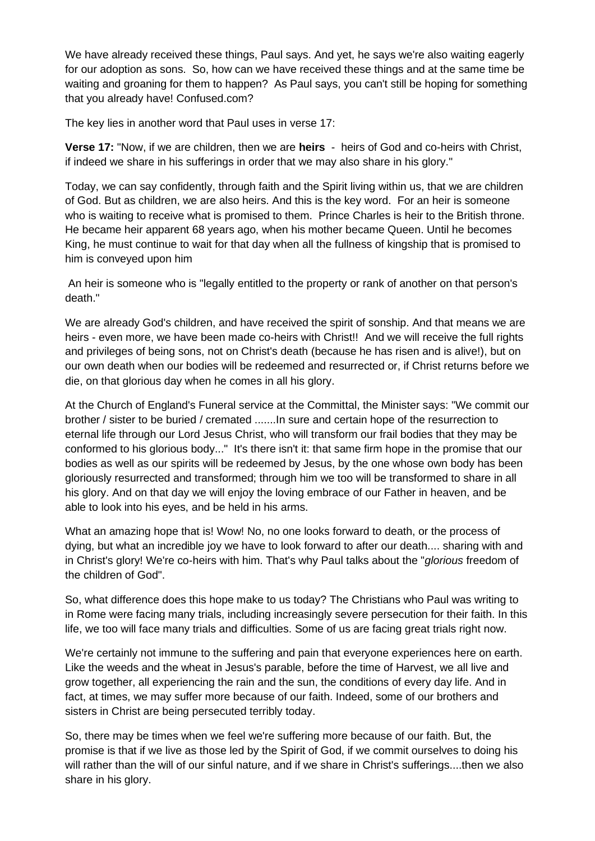We have already received these things, Paul says. And yet, he says we're also waiting eagerly for our adoption as sons. So, how can we have received these things and at the same time be waiting and groaning for them to happen? As Paul says, you can't still be hoping for something that you already have! Confused.com?

The key lies in another word that Paul uses in verse 17:

**Verse 17:** "Now, if we are children, then we are **heirs** - heirs of God and co-heirs with Christ, if indeed we share in his sufferings in order that we may also share in his glory."

Today, we can say confidently, through faith and the Spirit living within us, that we are children of God. But as children, we are also heirs. And this is the key word. For an heir is someone who is waiting to receive what is promised to them. Prince Charles is heir to the British throne. He became heir apparent 68 years ago, when his mother became Queen. Until he becomes King, he must continue to wait for that day when all the fullness of kingship that is promised to him is conveyed upon him

An heir is someone who is "legally entitled to the property or rank of another on that person's death."

We are already God's children, and have received the spirit of sonship. And that means we are heirs - even more, we have been made co-heirs with Christ!! And we will receive the full rights and privileges of being sons, not on Christ's death (because he has risen and is alive!), but on our own death when our bodies will be redeemed and resurrected or, if Christ returns before we die, on that glorious day when he comes in all his glory.

At the Church of England's Funeral service at the Committal, the Minister says: "We commit our brother / sister to be buried / cremated .......In sure and certain hope of the resurrection to eternal life through our Lord Jesus Christ, who will transform our frail bodies that they may be conformed to his glorious body..." It's there isn't it: that same firm hope in the promise that our bodies as well as our spirits will be redeemed by Jesus, by the one whose own body has been gloriously resurrected and transformed; through him we too will be transformed to share in all his glory. And on that day we will enjoy the loving embrace of our Father in heaven, and be able to look into his eyes, and be held in his arms.

What an amazing hope that is! Wow! No, no one looks forward to death, or the process of dying, but what an incredible joy we have to look forward to after our death.... sharing with and in Christ's glory! We're co-heirs with him. That's why Paul talks about the "*glorious* freedom of the children of God".

So, what difference does this hope make to us today? The Christians who Paul was writing to in Rome were facing many trials, including increasingly severe persecution for their faith. In this life, we too will face many trials and difficulties. Some of us are facing great trials right now.

We're certainly not immune to the suffering and pain that everyone experiences here on earth. Like the weeds and the wheat in Jesus's parable, before the time of Harvest, we all live and grow together, all experiencing the rain and the sun, the conditions of every day life. And in fact, at times, we may suffer more because of our faith. Indeed, some of our brothers and sisters in Christ are being persecuted terribly today.

So, there may be times when we feel we're suffering more because of our faith. But, the promise is that if we live as those led by the Spirit of God, if we commit ourselves to doing his will rather than the will of our sinful nature, and if we share in Christ's sufferings....then we also share in his glory.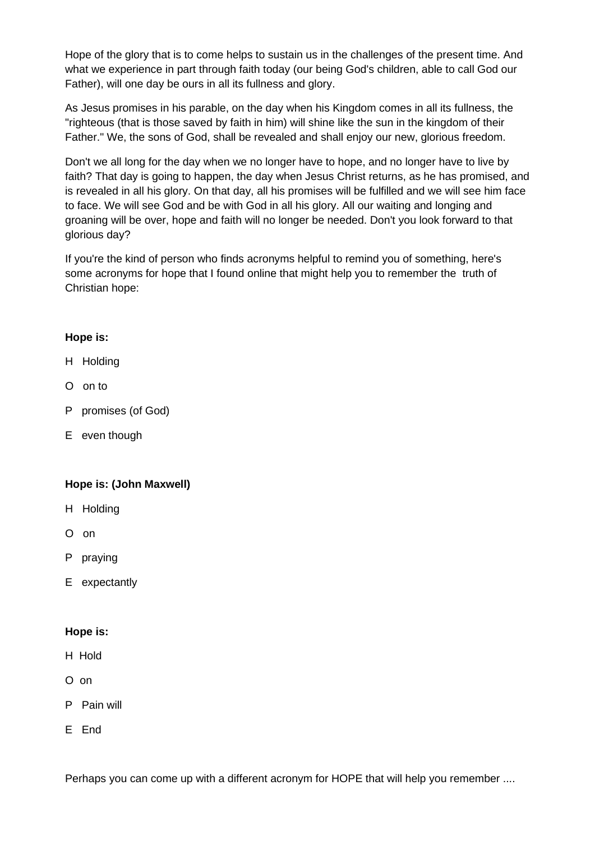Hope of the glory that is to come helps to sustain us in the challenges of the present time. And what we experience in part through faith today (our being God's children, able to call God our Father), will one day be ours in all its fullness and glory.

As Jesus promises in his parable, on the day when his Kingdom comes in all its fullness, the "righteous (that is those saved by faith in him) will shine like the sun in the kingdom of their Father." We, the sons of God, shall be revealed and shall enjoy our new, glorious freedom.

Don't we all long for the day when we no longer have to hope, and no longer have to live by faith? That day is going to happen, the day when Jesus Christ returns, as he has promised, and is revealed in all his glory. On that day, all his promises will be fulfilled and we will see him face to face. We will see God and be with God in all his glory. All our waiting and longing and groaning will be over, hope and faith will no longer be needed. Don't you look forward to that glorious day?

If you're the kind of person who finds acronyms helpful to remind you of something, here's some acronyms for hope that I found online that might help you to remember the truth of Christian hope:

## **Hope is:**

- H Holding
- O on to
- P promises (of God)
- E even though

# **Hope is: (John Maxwell)**

- H Holding
- O on
- P praying
- E expectantly

### **Hope is:**

- H Hold
- O on
- P Pain will
- E End

Perhaps you can come up with a different acronym for HOPE that will help you remember ....